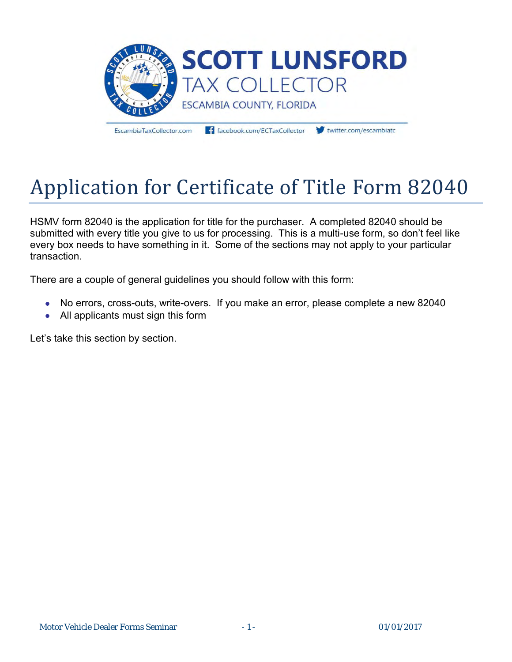

EscambiaTaxCollector.com

facebook.com/ECTaxCollector

twitter.com/escambiato

# Application for Certificate of Title Form 82040

HSMV form 82040 is the application for title for the purchaser. A completed 82040 should be submitted with every title you give to us for processing. This is a multi-use form, so don't feel like every box needs to have something in it. Some of the sections may not apply to your particular transaction.

There are a couple of general guidelines you should follow with this form:

- No errors, cross-outs, write-overs. If you make an error, please complete a new 82040
- All applicants must sign this form

Let's take this section by section.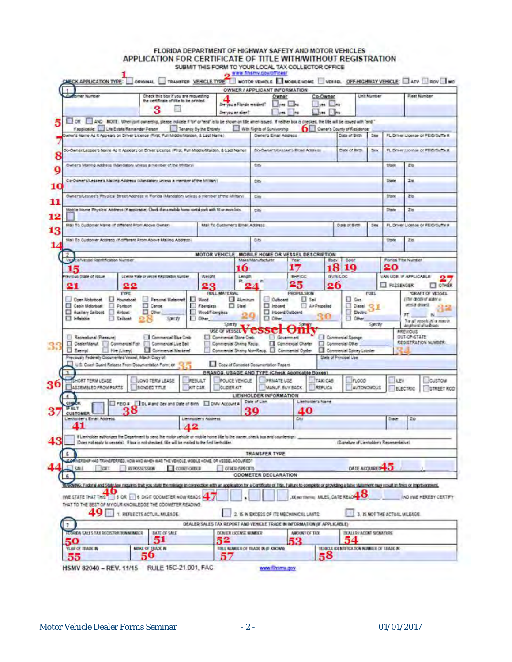# FLORIDA DEPARTMENT OF HIGHWAY SAFETY AND MOTOR VEHICLES<br>APPLICATION FOR CERTIFICATE OF TITLE WITH/WITHOUT REGISTRATION

| APPLICATION TYPE:                                                                                                                                                                                                        |                                                                                                                                |                                                                                      |                         |                                 |                                                   |                             | TRANSFER VEHICLE TYPE NOTOR VEHICLE SWORLE HOME VESSEL OFF-HIGHWAY VEHICLE: ATV AOV NO<br>OWNER / APPLICANT INFORMATION |                   |                                       |                                             |             |                               |                        |                                                                                                                            |
|--------------------------------------------------------------------------------------------------------------------------------------------------------------------------------------------------------------------------|--------------------------------------------------------------------------------------------------------------------------------|--------------------------------------------------------------------------------------|-------------------------|---------------------------------|---------------------------------------------------|-----------------------------|-------------------------------------------------------------------------------------------------------------------------|-------------------|---------------------------------------|---------------------------------------------|-------------|-------------------------------|------------------------|----------------------------------------------------------------------------------------------------------------------------|
| ner Number                                                                                                                                                                                                               |                                                                                                                                | Check this box if you are requesting<br>the certificate of title to be printed.<br>3 |                         |                                 |                                                   | Are you a Florida resident? | Owner<br>ves the                                                                                                        |                   | Co-Owner<br>yes no                    |                                             | Link Number |                               |                        | <b>Fleet Number</b>                                                                                                        |
|                                                                                                                                                                                                                          |                                                                                                                                |                                                                                      |                         |                                 | Are you an allen?                                 |                             | yes.                                                                                                                    |                   | $1$                                   |                                             |             |                               |                        |                                                                                                                            |
| DR . NO NOTE: When juri ownership, please indicate if for or fend' a to be shown on life when assed. If nother box is checked, the life will be issued with "and."                                                       | Faspicatie: L.J.Life Estate/Remainder Person                                                                                   |                                                                                      | Tenancy By the Entirely |                                 |                                                   |                             | With Rights of Suniversity                                                                                              |                   |                                       | <b>DELL</b> Quiner's County of Residence    |             |                               |                        |                                                                                                                            |
| Disnar's Name As it Appears on Driver License (Rirst, Pull Middle/Maloen, & Last Name)                                                                                                                                   |                                                                                                                                |                                                                                      |                         |                                 |                                                   |                             | Owners Email Address                                                                                                    |                   |                                       | Date of Broy                                | 288         |                               |                        | FL Driver License or FEID/3uffs #                                                                                          |
|                                                                                                                                                                                                                          |                                                                                                                                |                                                                                      |                         |                                 |                                                   |                             |                                                                                                                         |                   |                                       |                                             |             |                               |                        |                                                                                                                            |
| Co-OwnerLessee's Name As it Appears on Criver License (First, Full Middle-Malden, & Last Name)                                                                                                                           |                                                                                                                                |                                                                                      |                         |                                 |                                                   |                             | <b>Co-Queers Lessee's Rical Assless</b>                                                                                 |                   |                                       | Date of lives                               | Sex         |                               |                        | FL Driver License or FRID Durin R.                                                                                         |
|                                                                                                                                                                                                                          |                                                                                                                                |                                                                                      |                         |                                 |                                                   |                             |                                                                                                                         |                   |                                       |                                             |             |                               |                        |                                                                                                                            |
| Owner's Malling Address (Mandatory unless a member of the Military)                                                                                                                                                      |                                                                                                                                |                                                                                      |                         |                                 |                                                   | City                        |                                                                                                                         |                   |                                       |                                             |             | tham                          | 200                    |                                                                                                                            |
| Co-Oeners/Lessee's Maling Address (Mandatory Unicus a member of the Military)                                                                                                                                            |                                                                                                                                |                                                                                      |                         |                                 |                                                   | City                        |                                                                                                                         |                   |                                       |                                             |             | Distr                         | 206                    |                                                                                                                            |
|                                                                                                                                                                                                                          |                                                                                                                                |                                                                                      |                         |                                 |                                                   |                             |                                                                                                                         |                   |                                       |                                             |             |                               |                        |                                                                                                                            |
| Owner situation's Physical Street Address in Figrida (Mandatory unless a member of the Military)                                                                                                                         |                                                                                                                                |                                                                                      |                         |                                 |                                                   | City                        |                                                                                                                         |                   |                                       |                                             |             | 25m                           | 216                    |                                                                                                                            |
|                                                                                                                                                                                                                          |                                                                                                                                |                                                                                      |                         |                                 |                                                   |                             |                                                                                                                         |                   |                                       |                                             |             |                               |                        |                                                                                                                            |
| Mobile Home Physical Address (if applicable) Chock if in a mobile home rontal pork with 10 or more lots.                                                                                                                 |                                                                                                                                |                                                                                      |                         |                                 |                                                   | City                        |                                                                                                                         |                   |                                       |                                             |             | 2tate                         | 20                     |                                                                                                                            |
| Mail To Cubbrier Name (if different Front Above Owner)                                                                                                                                                                   |                                                                                                                                |                                                                                      |                         |                                 | Mal To Customer's Email Address                   |                             |                                                                                                                         |                   |                                       | Date of Birth                               | Des.        |                               |                        | FL Driver License or FEID/Suffix #                                                                                         |
|                                                                                                                                                                                                                          |                                                                                                                                |                                                                                      |                         |                                 |                                                   |                             |                                                                                                                         |                   |                                       |                                             |             |                               |                        |                                                                                                                            |
| Mail To Customer Accress it different From Above Maling Abdressi                                                                                                                                                         |                                                                                                                                |                                                                                      |                         |                                 |                                                   | City.                       |                                                                                                                         |                   |                                       |                                             |             | <b>Glade</b>                  | Zio                    |                                                                                                                            |
|                                                                                                                                                                                                                          |                                                                                                                                |                                                                                      |                         |                                 |                                                   |                             |                                                                                                                         |                   |                                       |                                             |             |                               |                        |                                                                                                                            |
| $\mathbf{z}$<br>Colvessel Identification Number<br>œ                                                                                                                                                                     |                                                                                                                                |                                                                                      |                         |                                 |                                                   | Make Manufacturer           | MOTOR VEHICLE , MOBILE HOME OR VESSEL DESCRIPTION<br>Year                                                               |                   | Body                                  | Color                                       |             |                               | Florida Title Number   |                                                                                                                            |
| 15                                                                                                                                                                                                                       |                                                                                                                                |                                                                                      |                         |                                 | 10                                                |                             | 17                                                                                                                      |                   | 18                                    | 10                                          |             | 20                            |                        |                                                                                                                            |
| revious Ditate of issue                                                                                                                                                                                                  |                                                                                                                                | License Plate or Vessel Registedon Number                                            |                         | Weight                          |                                                   | Longin                      |                                                                                                                         | BHP/CC            | GWN/LOC                               |                                             |             | VAN UGE, IF APPLICABLE        |                        |                                                                                                                            |
| 21                                                                                                                                                                                                                       | 22                                                                                                                             |                                                                                      |                         | 23                              | 粍                                                 |                             | 25                                                                                                                      |                   | 26                                    |                                             |             | <b>FASSENGER</b>              |                        | OTHER<br>Ð                                                                                                                 |
|                                                                                                                                                                                                                          | <b>TYPE</b>                                                                                                                    |                                                                                      |                         |                                 | <b>HULL MATERSAL</b>                              |                             |                                                                                                                         | PROPULSION        |                                       |                                             | <b>FUEL</b> |                               |                        | DRAFT OF VESSEL                                                                                                            |
| Coen Motorboat                                                                                                                                                                                                           |                                                                                                                                |                                                                                      |                         |                                 |                                                   |                             |                                                                                                                         |                   |                                       |                                             |             |                               |                        |                                                                                                                            |
|                                                                                                                                                                                                                          | Houseboat                                                                                                                      | Personal Watercraft                                                                  |                         | Wood                            | Aluminum                                          |                             | <b>D</b> Vboard                                                                                                         | $\Box$ $2n$       |                                       | $\Box$ Gas                                  |             |                               |                        | (The depth of autor a)                                                                                                     |
| Cebin Molorboat                                                                                                                                                                                                          | Ponton                                                                                                                         | <b>D</b> Cance                                                                       |                         | Fibergiass                      | $\Box$ See                                        |                             | <b>Distant</b>                                                                                                          | Air Propelled     |                                       | Detel 2                                     |             |                               | whole change           |                                                                                                                            |
| Ausliery Selboat Airboat                                                                                                                                                                                                 |                                                                                                                                | <b>Di</b> Other                                                                      |                         | Wood Fibergless                 |                                                   |                             | BreatluD Breach LI                                                                                                      |                   |                                       | <b>Electro</b>                              |             |                               | FT.                    | 2%                                                                                                                         |
| <b>CI Infinisie</b>                                                                                                                                                                                                      | Saiboat                                                                                                                        |                                                                                      | Specty                  | Other                           | <b>Spirity</b>                                    |                             | <b>C</b> Other                                                                                                          |                   |                                       | <b>Different</b>                            | Specty      |                               |                        | inghand all tashorty                                                                                                       |
|                                                                                                                                                                                                                          |                                                                                                                                |                                                                                      |                         |                                 | <b>USE OF VESSEL V CONSIGLE</b>                   |                             |                                                                                                                         | ш                 |                                       |                                             |             |                               | <b><i>FREVIOUS</i></b> |                                                                                                                            |
| Recreational (Pleasure)                                                                                                                                                                                                  |                                                                                                                                | Commercial Blue Crab                                                                 |                         |                                 | Commercial Stone Crab.<br>Commercial Shamp Recip. |                             | Government<br>Commercial Charter                                                                                        |                   | Commercial Sponge<br>Commercial Other |                                             |             |                               | OUT-OF-STATE           |                                                                                                                            |
| Contentent Connecial Fat Connecial Live Bat<br>El Exempt                                                                                                                                                                 | Hire (Livery)                                                                                                                  | Commercal Mackerel                                                                   |                         |                                 |                                                   |                             | Commercial Shang Non-Recip. [3] Commercial Cyster                                                                       |                   |                                       | Commercial Spiney Lobster                   |             |                               |                        |                                                                                                                            |
| Previously Federally Documented Vessel, Altach Copy of:                                                                                                                                                                  |                                                                                                                                |                                                                                      |                         |                                 |                                                   |                             |                                                                                                                         |                   | State of Principal Use                |                                             |             |                               |                        |                                                                                                                            |
|                                                                                                                                                                                                                          | U.S. Coast Guard Release From Documentation Form: or 2 F                                                                       |                                                                                      |                         |                                 | Copy of Canceled Documentation Papers             |                             |                                                                                                                         |                   |                                       |                                             |             |                               |                        |                                                                                                                            |
|                                                                                                                                                                                                                          |                                                                                                                                |                                                                                      |                         |                                 |                                                   |                             | <b>BRANDS, USAGE AND TYPE (Check Applicable Boxes)</b>                                                                  |                   |                                       |                                             |             |                               |                        |                                                                                                                            |
| <b>SHORT TERM LEASE</b><br>ASSEMBLED FROM PARTS                                                                                                                                                                          |                                                                                                                                | LONG TERM LEASE<br><b>BONDED TITLE</b>                                               |                         | <b>REBULT</b><br><b>AUT CAR</b> | POLICE VEHICLE<br><b>GLIDER KIT</b>               |                             | PRIVATE USE<br>MANUF, BUY BACK                                                                                          |                   | TAXI CAB<br>REPLICA                   | PLOCO-<br><b>AUTONOMOUS</b>                 |             | <b>IEBV</b>                   |                        |                                                                                                                            |
|                                                                                                                                                                                                                          |                                                                                                                                |                                                                                      |                         |                                 |                                                   |                             | LIFNHOLDER INFORMATION                                                                                                  |                   |                                       |                                             |             |                               | <b>ELECTRIC</b>        |                                                                                                                            |
|                                                                                                                                                                                                                          | FEO = DL # and Day and Date of Birth El DMV Account #                                                                          |                                                                                      |                         |                                 |                                                   | Date of Lien                |                                                                                                                         | Lienholder's Name |                                       |                                             |             |                               |                        |                                                                                                                            |
| <b>CUSTOMER</b>                                                                                                                                                                                                          | 38                                                                                                                             |                                                                                      |                         |                                 |                                                   |                             |                                                                                                                         | 40                |                                       |                                             |             |                               |                        |                                                                                                                            |
|                                                                                                                                                                                                                          |                                                                                                                                |                                                                                      |                         | Liennoiders Appress             |                                                   |                             |                                                                                                                         | City              |                                       |                                             |             | <b>Diate</b>                  | Zi0                    |                                                                                                                            |
| <b>L'enhalders Email Address</b>                                                                                                                                                                                         |                                                                                                                                |                                                                                      |                         |                                 |                                                   |                             |                                                                                                                         |                   |                                       |                                             |             |                               |                        |                                                                                                                            |
|                                                                                                                                                                                                                          | If Lienholder authorizes the Department to send the motor vehicle or mobile home life to the owner, check box and counters on: |                                                                                      |                         |                                 |                                                   |                             |                                                                                                                         |                   |                                       |                                             |             |                               |                        |                                                                                                                            |
|                                                                                                                                                                                                                          | (Does not apply to vessalis). If box is not checked, title will be mailed to the first liamholder                              |                                                                                      |                         |                                 |                                                   |                             |                                                                                                                         |                   |                                       | (Signature of Lienholder's Representative). |             |                               |                        |                                                                                                                            |
| $5 -$                                                                                                                                                                                                                    |                                                                                                                                |                                                                                      |                         |                                 |                                                   |                             | TRANSFER TYPE                                                                                                           |                   |                                       |                                             |             |                               |                        |                                                                                                                            |
| A GAINERSHIP HAS TRANSFERRED, HOW AND WHEN WAS THE VEHICLE, MOBILE HOME, OR VESSEL ACCURRED?                                                                                                                             |                                                                                                                                |                                                                                      |                         |                                 |                                                   |                             |                                                                                                                         |                   |                                       |                                             |             |                               |                        |                                                                                                                            |
| 1200T                                                                                                                                                                                                                    | <b>REPOSSESSION</b>                                                                                                            |                                                                                      | COURT ORDER             |                                 | <b>OTHER GPECIEV</b>                              |                             |                                                                                                                         |                   |                                       | DATE ACQUIRED <sup>4</sup>                  |             |                               |                        |                                                                                                                            |
| s                                                                                                                                                                                                                        |                                                                                                                                |                                                                                      |                         |                                 |                                                   |                             | <b>ODOMETER DECLARATION</b>                                                                                             |                   |                                       |                                             |             |                               |                        |                                                                                                                            |
| RASSING: Federal and State law metables that you stude the milinger in correction with an applicable for a Certificate of Title, Failure to complete or providing a table statement may result in their or imprisonment. |                                                                                                                                |                                                                                      |                         |                                 |                                                   |                             |                                                                                                                         |                   |                                       |                                             |             |                               |                        |                                                                                                                            |
| IWE STATE THAT THIS IS OR IS ON DIGIT COOMETER NOW READS                                                                                                                                                                 |                                                                                                                                |                                                                                      |                         |                                 |                                                   |                             |                                                                                                                         |                   |                                       |                                             |             |                               |                        |                                                                                                                            |
| THAT TO THE SEST OF MY/OUR KNOWLEDGE THE ODDMETER READING:                                                                                                                                                               |                                                                                                                                |                                                                                      |                         |                                 |                                                   |                             |                                                                                                                         |                   |                                       | <b>XX POTENTIAL MULES, CATE READY</b>       |             |                               |                        |                                                                                                                            |
| 49 ⊟                                                                                                                                                                                                                     |                                                                                                                                | 1. REFLECTS ACTUAL MILEAGE.                                                          |                         |                                 |                                                   |                             | 2. IS IN EXCESS OF ITS MECHANICAL LIMITS.                                                                               |                   |                                       |                                             |             | 3. IS NOT THE ACTUAL MILEAGE. |                        |                                                                                                                            |
|                                                                                                                                                                                                                          |                                                                                                                                |                                                                                      |                         |                                 |                                                   |                             |                                                                                                                         |                   |                                       |                                             |             |                               |                        |                                                                                                                            |
|                                                                                                                                                                                                                          |                                                                                                                                |                                                                                      |                         |                                 |                                                   |                             | DEALER SALES TAX REPORT AND VEHICLE TRADE IN INFORMATION (IF APPLICABLE)                                                |                   |                                       |                                             |             |                               |                        |                                                                                                                            |
| FLORIDA SALES TAX RECISTRATION MOMEER                                                                                                                                                                                    |                                                                                                                                | DATE OF SALE                                                                         |                         |                                 | DOMER LICENSE MUMBER                              |                             |                                                                                                                         | AMOUNT OF TAX.    |                                       | DUALER LACENT SCANTURE<br>54                |             |                               |                        |                                                                                                                            |
| 50<br>YEAR OF TRAIN IN                                                                                                                                                                                                   |                                                                                                                                | 51<br><b>MAKE OF TRADE IN</b>                                                        |                         |                                 | 52<br>TITLE MUMBER OF TRADE IN IF KNOWN           |                             | 53                                                                                                                      |                   |                                       | VEHICLE EXENTIFICATION NUMBER OF TRADE IN   |             |                               |                        | មាន<br>The all years is to may it<br><b>REGISTRATION NUMBER:</b><br><b>CUSTOM</b><br>STREET ROO<br>IND INVE HEREBY CERTIFY |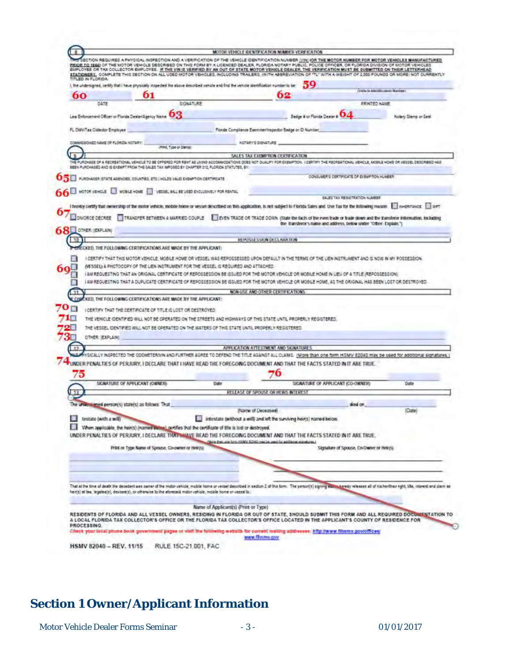|                                     |                                                                                                                               |                                      | NON REQUIRES A PHYSICAL INSPECTION AND A VERIFICATION OF THE VEHICLE IDENTIFICATION NUMBER <u>(VIN) (OR THE MOTOR NUMBER FOR MOTOR VEHICLES MANUFACTURED</u>                                                                                                                                                                                                                                                                                                                                    |                                                                   |                      |
|-------------------------------------|-------------------------------------------------------------------------------------------------------------------------------|--------------------------------------|-------------------------------------------------------------------------------------------------------------------------------------------------------------------------------------------------------------------------------------------------------------------------------------------------------------------------------------------------------------------------------------------------------------------------------------------------------------------------------------------------|-------------------------------------------------------------------|----------------------|
| TITLED IN FLORIDA.                  |                                                                                                                               |                                      | PRIOR TO 1860 OF THE MOTOR VEHICLE DESCRIBED ON THIS FORM BY A LICENSED DEALER, FLORIDA NOTARY PUBLIC, POLICE OFFICER, OR FLORIDA DIVISION OF MOTOR VEHICLES<br>EMPLOYEE OR TAX COLLECTOR EMPLOYEE. IF THE VIN IS VERIFIED BY AN OUT OF STATE MOTOR VEHICLE DEALER, THE VERIFICATION MUST BE SUBMITTED ON THEIR LETTERHEAD<br>STATIONERY, COMPLETE THIS SECTION ON ALL USED MOTOR VEHICLES, INCLUDING TRAILERS, (WITH ABBREVIATION OF "TL" WITH A WEIGHT OF 2.000 POUNDS OR MOREI NOT CURRENTLY |                                                                   |                      |
|                                     |                                                                                                                               |                                      | ), the undersigned, berify that I have physically inspected the above described vehicle and find the vehicle identification number to be: $\,59$                                                                                                                                                                                                                                                                                                                                                |                                                                   |                      |
| 60                                  |                                                                                                                               |                                      | 62                                                                                                                                                                                                                                                                                                                                                                                                                                                                                              | <b>Control or Manufacturers received</b>                          |                      |
| DATE                                |                                                                                                                               | SIGNATURE                            |                                                                                                                                                                                                                                                                                                                                                                                                                                                                                                 | <b>PRINTED NAME</b>                                               |                      |
|                                     | Lea Enforcement Officer or Florida Dealer/Agency Name                                                                         |                                      | Bedge # or Florida Dealer # 04                                                                                                                                                                                                                                                                                                                                                                                                                                                                  |                                                                   | Notary Stems or See! |
|                                     |                                                                                                                               |                                      |                                                                                                                                                                                                                                                                                                                                                                                                                                                                                                 |                                                                   |                      |
| FL DMVITux Collector Employee       |                                                                                                                               |                                      | Florida Compliance Examiner/Inspector Badge or D Number                                                                                                                                                                                                                                                                                                                                                                                                                                         |                                                                   |                      |
| COMMESSONED NAME OF FLORIDA NOTARY: | (Print, Type or Diamo)                                                                                                        |                                      | <b>NOTARYS SIGNATURE</b>                                                                                                                                                                                                                                                                                                                                                                                                                                                                        |                                                                   |                      |
|                                     |                                                                                                                               |                                      | SALES TAX EXEMPTION CERTIFICATION                                                                                                                                                                                                                                                                                                                                                                                                                                                               |                                                                   |                      |
|                                     | SEEN PURCHASED AND IS EXEMPT FROM THE GALES TAX IMPOSED BY CHAPTER 212, FLORIDA STATUTES, BY:                                 |                                      | THE PURCHASE OF A RECREATIONAL VEHICLE TO BE OFFERED FOR RENT AS LIVING ACCOMMODATIONS DOES NOT OUALIFY FOR DISMETION. 1 CERTIFY THE RECREATIONAL VEHICLE, MOSKA HOME OR VESSEL DESCREED HAS                                                                                                                                                                                                                                                                                                    |                                                                   |                      |
|                                     |                                                                                                                               |                                      |                                                                                                                                                                                                                                                                                                                                                                                                                                                                                                 | COVELMER'S CERTIFICATE OF EXEMPTION NUMBER                        |                      |
|                                     | OSE AVROVABLE STATE ASSAGES, COUNTIES, ETC.) HOLDS VALID EXEMPTION CERTIFICATE                                                |                                      |                                                                                                                                                                                                                                                                                                                                                                                                                                                                                                 |                                                                   |                      |
|                                     | A U MOTOR VEHOLE U MOBLE HOME I VEDDEL WALL BE USED EXCLUSIVELY FOR RENTAL                                                    |                                      |                                                                                                                                                                                                                                                                                                                                                                                                                                                                                                 |                                                                   |                      |
|                                     |                                                                                                                               |                                      |                                                                                                                                                                                                                                                                                                                                                                                                                                                                                                 | <b>SALES TAX REGISTRATION NUMBER</b>                              |                      |
|                                     |                                                                                                                               |                                      | I hereby certify that nemership of the motor vehicle, mobile home or vessel described on this application, is not subject to Florida Sales and the Tax for the Itsilowing musee. [1] event was a [1] event was a                                                                                                                                                                                                                                                                                |                                                                   |                      |
| JONIGROE DECREE                     |                                                                                                                               |                                      | TRANSFER BETWEEN A MARRIED COUPLE EVEN TRADE OR TRADE DOWN (State the facts of the even trade or trade down and the transferor information, including                                                                                                                                                                                                                                                                                                                                           |                                                                   |                      |
| <b>SRET OTHER: (EXPLAIN)</b>        |                                                                                                                               |                                      |                                                                                                                                                                                                                                                                                                                                                                                                                                                                                                 | the transferor's name and address, below under "Other: Explain.") |                      |
| 10                                  |                                                                                                                               |                                      | REPUSALS SOUNDED AREA DON                                                                                                                                                                                                                                                                                                                                                                                                                                                                       |                                                                   |                      |
|                                     | CKED, THE FOLLOWING CERTIFICATIONS ARE MADE BY THE APPLICANT:                                                                 |                                      |                                                                                                                                                                                                                                                                                                                                                                                                                                                                                                 |                                                                   |                      |
|                                     | KED, THE FOLLOWING CERTIFICATIONS ARE MADE BY THE APPEICANT:<br>I CERTIFY THAT THE CERTIFICATE OF TITLE IS LOST OR DESTROYED. |                                      | I AM REQUESTING THAT AN ORIGINAL CERTIFICATE OF REPOSSESSION BE ISSUED FOR THE MOTOR VEHICLE OR MOBILE HOME IN LIEU OF A TITLE (REPOSSESSION).<br>I AM REQUESTING THAT A DUPLICATE CERTIFICATE OF REPOSSESSION BE ISSUED FOR THE MOTOR VEHICLE OR MOBILE HOME, AS THE ORIGINAL HAS BEEN LOST OR DESTROVED<br>NON-USE AND OTHER CERTIFICATIONS.<br>THE VEHICLE IDENTIFIED WILL NOT BE CPERATED ON THE STREETS AND HIGHWAYS OF THIS STATE UNTIL PROPERLY REGISTERED.                              |                                                                   |                      |
| OTHER: IEXPLAIN)                    | THE VESSEL IDENTIFIED WILL NOT BE OPERATED ON THE WATERS OF THIS STATE UNTIL PROPERLY REGISTERED.                             |                                      | APPLICATION ATTESTMENT AND SIGNATURES.                                                                                                                                                                                                                                                                                                                                                                                                                                                          |                                                                   |                      |
|                                     |                                                                                                                               |                                      | LLY INSPECTED THE ODDMETERIVIN AND FURTHER AGREE TO DEFEND THE TITLE AGAINST ALL CLAIMS. (More than one form HSMV 82040 may be used for additional signal                                                                                                                                                                                                                                                                                                                                       |                                                                   |                      |
|                                     |                                                                                                                               |                                      | 74 UNDER PENALTIES OF PERJURY, I DECLARE THAT I HAVE READ THE FOREGOING DOCUMENT AND THAT THE FACTS STATED IN IT ARE TRUE.                                                                                                                                                                                                                                                                                                                                                                      |                                                                   |                      |
| 75                                  |                                                                                                                               |                                      | 76                                                                                                                                                                                                                                                                                                                                                                                                                                                                                              |                                                                   |                      |
|                                     | SIGNATURE OF APPLICANT (OWNER)                                                                                                | <b>Date</b>                          |                                                                                                                                                                                                                                                                                                                                                                                                                                                                                                 | SIGNATURE OF APPLICANT (CO-OWNER)                                 | Date                 |
| $-13$                               |                                                                                                                               |                                      | RELEASE OF SPOUSE OR HEIRS INTERES                                                                                                                                                                                                                                                                                                                                                                                                                                                              |                                                                   |                      |
|                                     | The undergraved person(s) state(s) as follows: That                                                                           |                                      |                                                                                                                                                                                                                                                                                                                                                                                                                                                                                                 | died on.                                                          |                      |
|                                     |                                                                                                                               |                                      | (Name of Deceaseal)                                                                                                                                                                                                                                                                                                                                                                                                                                                                             |                                                                   | (Date)               |
| testate (with a will)               |                                                                                                                               |                                      | intestate (without a will) and left the surviving heir(s) named below.                                                                                                                                                                                                                                                                                                                                                                                                                          |                                                                   |                      |
|                                     | When applicable, the heir(s) (named below) gettifies that the certificate of title is lost or destroyed.                      |                                      |                                                                                                                                                                                                                                                                                                                                                                                                                                                                                                 |                                                                   |                      |
|                                     |                                                                                                                               |                                      | UNDER PENALTIES OF PERJURY. I DECLARE THAT WAVE READ THE FOREGOING DOCUMENT AND THAT THE FACTS STATED IN IT ARE TRUE.                                                                                                                                                                                                                                                                                                                                                                           |                                                                   |                      |
|                                     | Print or Type Name of Spouse, Co-owner or Heiris)                                                                             |                                      | a then and furn reside's fictivity may be used for additional elements of                                                                                                                                                                                                                                                                                                                                                                                                                       | Signature of Spouse, Co-Owner or Helico.                          |                      |
|                                     |                                                                                                                               |                                      |                                                                                                                                                                                                                                                                                                                                                                                                                                                                                                 |                                                                   |                      |
|                                     |                                                                                                                               |                                      |                                                                                                                                                                                                                                                                                                                                                                                                                                                                                                 |                                                                   |                      |
|                                     |                                                                                                                               |                                      |                                                                                                                                                                                                                                                                                                                                                                                                                                                                                                 |                                                                   |                      |
|                                     | heir(s) at law. legalee(s), devinee(s), or otherwise to the aforesaid motor vehicle, mobile home or vessal to:                |                                      | That at the time of death the decedent was currer of the motor vehicle, mobile home or vessel described in section 2 of this form. The person(s) signing expressive leases all of his herliber hight, life, interest and plaim                                                                                                                                                                                                                                                                  |                                                                   |                      |
|                                     |                                                                                                                               |                                      |                                                                                                                                                                                                                                                                                                                                                                                                                                                                                                 |                                                                   |                      |
|                                     |                                                                                                                               | Name of Applicant(s) (Print or Type) | RESIDENTS OF FLORIDA AND ALL VESSEL OWNERS, RESIDING IN FLORIDA OR OUT OF STATE, SHOULD SUBMIT THIS FORM AND ALL REQUIRED DOCUMENTATION TO                                                                                                                                                                                                                                                                                                                                                      |                                                                   |                      |
| PROCESSING.                         |                                                                                                                               |                                      | A LOCAL FLORIDA TAX COLLECTOR'S OFFICE OR THE FLORIDA TAX COLLECTOR'S OFFICE LOCATED IN THE APPLICANT'S COUNTY OF RESIDENCE FOR                                                                                                                                                                                                                                                                                                                                                                 |                                                                   |                      |

# **Section 1 Owner/Applicant Information**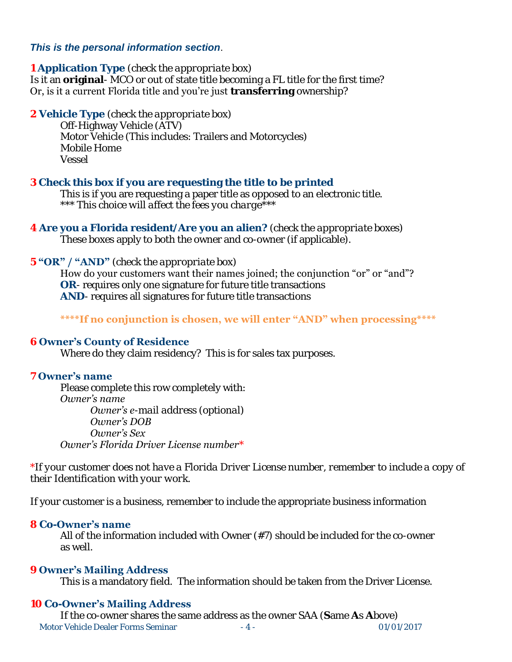#### *This is the personal information section*.

#### **1 Application Type** *(check the appropriate box)*

Is it an **original**- MCO or out of state title becoming a FL title for the first time? Or, is it a current Florida title and you're just **transferring** ownership?

**2 Vehicle Type** *(check the appropriate box)*

 Off-Highway Vehicle (ATV) Motor Vehicle (This includes: Trailers and Motorcycles) Mobile Home Vessel

#### **3 Check this box if you are requesting the title to be printed**

 This is if you are requesting a paper title as opposed to an electronic title.  *\*\*\* This choice will affect the fees you charge\*\*\** 

**4 Are you a Florida resident/Are you an alien?** *(check the appropriate boxes)* These boxes apply to both the owner and co-owner (if applicable).

#### **5 "OR" / "AND"** *(check the appropriate box)*

How do your customers want their names joined; the conjunction "or" or "and"? **OR**- requires only one signature for future title transactions **AND**- requires all signatures for future title transactions

#### **\*\*\*\*If no conjunction is chosen, we will enter "AND" when processing\*\*\*\***

#### **6 Owner's County of Residence**

Where do they claim residency? This is for sales tax purposes.

#### **7 Owner's name**

 Please complete this row completely with: *Owner's name Owner's e-mail address (optional) Owner's DOB Owner's Sex Owner's Florida Driver License number*\*

*\*If your customer does not have a Florida Driver License number, remember to include a copy of their Identification with your work.* 

If your customer is a business, remember to include the appropriate business information

#### **8 Co-Owner's name**

 All of the information included with Owner (#7) should be included for the co-owner as well.

#### **9 Owner's Mailing Address**

This is a mandatory field. The information should be taken from the Driver License.

#### **10 Co-Owner's Mailing Address**

Motor Vehicle Dealer Forms Seminar  $-4 -$  01/01/2017 If the co-owner shares the same address as the owner SAA (**S**ame **A**s **A**bove)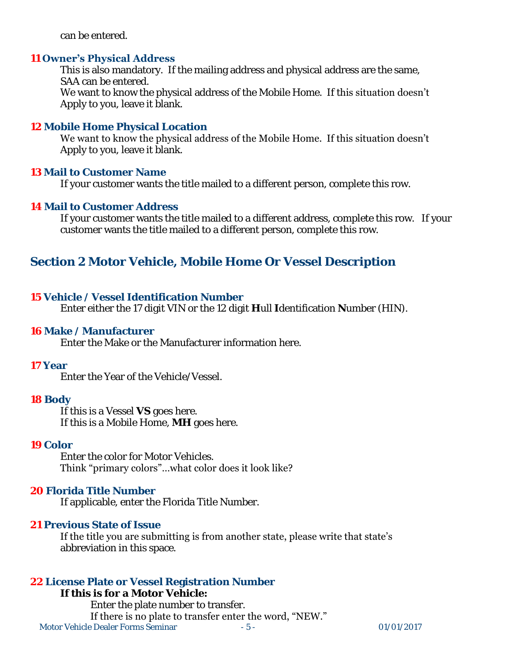can be entered.

#### **11 Owner's Physical Address**

 This is also mandatory. If the mailing address and physical address are the same, SAA can be entered. We want to know the physical address of the Mobile Home. If this situation doesn't Apply to you, leave it blank.

#### **12 Mobile Home Physical Location**

We want to know the physical address of the Mobile Home. If this situation doesn't Apply to you, leave it blank.

#### **13 Mail to Customer Name**

If your customer wants the title mailed to a different person, complete this row.

#### **14 Mail to Customer Address**

If your customer wants the title mailed to a different address, complete this row. If your customer wants the title mailed to a different person, complete this row.

# **Section 2 Motor Vehicle, Mobile Home Or Vessel Description**

#### **15 Vehicle / Vessel Identification Number**

Enter either the 17 digit VIN or the 12 digit **H**ull **I**dentification **N**umber (HIN).

#### **16 Make / Manufacturer**

Enter the Make or the Manufacturer information here.

#### **17 Year**

Enter the Year of the Vehicle/Vessel.

#### **18 Body**

 If this is a Vessel **VS** goes here. If this is a Mobile Home, **MH** goes here.

#### **19 Color**

 Enter the color for Motor Vehicles. Think "primary colors"…what color does it look like?

#### **20 Florida Title Number**

If applicable, enter the Florida Title Number.

#### **21 Previous State of Issue**

If the title you are submitting is from another state, please write that state's abbreviation in this space.

#### **22 License Plate or Vessel Registration Number**

Motor Vehicle Dealer Forms Seminar - 5 - 01/01/2017 **If this is for a Motor Vehicle:** Enter the plate number to transfer. If there is no plate to transfer enter the word, "NEW."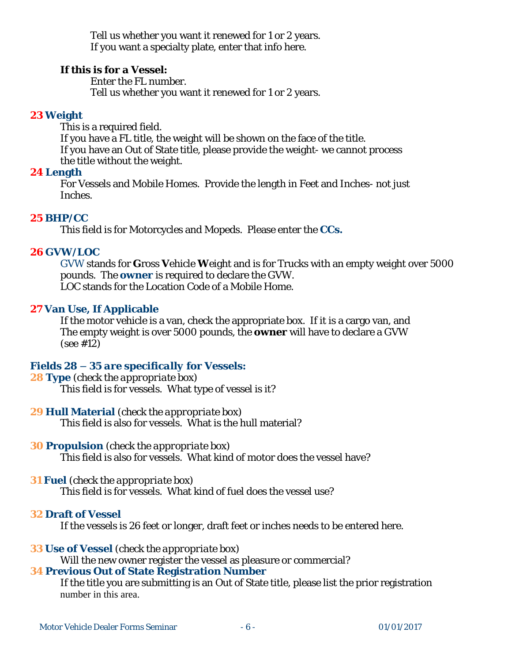Tell us whether you want it renewed for 1 or 2 years. If you want a specialty plate, enter that info here.

**If this is for a Vessel:** 

Enter the FL number.

Tell us whether you want it renewed for 1 or 2 years.

#### **23 Weight**

 This is a required field. If you have a FL title, the weight will be shown on the face of the title. If you have an Out of State title, please provide the weight- we cannot process the title without the weight.

### **24 Length**

For Vessels and Mobile Homes. Provide the length in Feet and Inches- not just Inches.

## **25 BHP/CC**

This field is for Motorcycles and Mopeds. Please enter the **CCs.**

## **26 GVW/LOC**

GVW stands for **G**ross **V**ehicle **W**eight and is for Trucks with an empty weight over 5000 pounds. The **owner** is required to declare the GVW. LOC stands for the Location Code of a Mobile Home.

#### **27 Van Use, If Applicable**

If the motor vehicle is a van, check the appropriate box. If it is a cargo van, and The empty weight is over 5000 pounds, the **owner** will have to declare a GVW (see #12)

#### *Fields 28 – 35 are specifically for Vessels:*

#### **28 Type** *(check the appropriate box)*

This field is for vessels. What type of vessel is it?

#### **29 Hull Material** *(check the appropriate box)*

This field is also for vessels. What is the hull material?

#### **30 Propulsion** *(check the appropriate box)*

This field is also for vessels. What kind of motor does the vessel have?

#### **31 Fuel** *(check the appropriate box)*

This field is for vessels. What kind of fuel does the vessel use?

#### **32 Draft of Vessel**

If the vessels is 26 feet or longer, draft feet or inches needs to be entered here.

#### **33 Use of Vessel** *(check the appropriate box)*

Will the new owner register the vessel as pleasure or commercial?

#### **34 Previous Out of State Registration Number**

 If the title you are submitting is an Out of State title, please list the prior registration number in this area.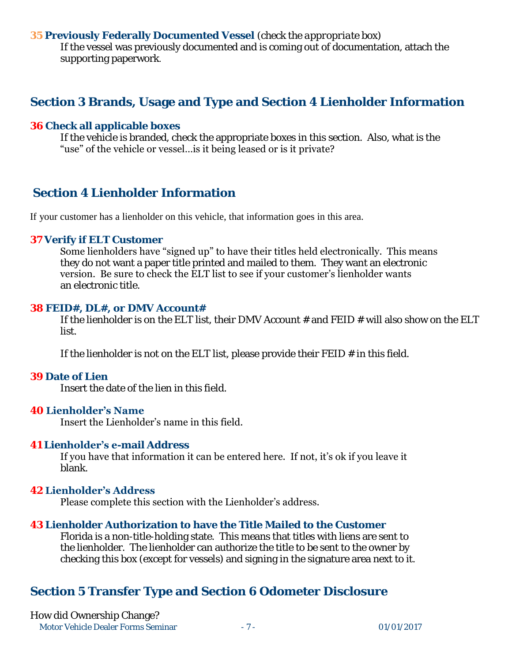#### **35 Previously Federally Documented Vessel** *(check the appropriate box)*

If the vessel was previously documented and is coming out of documentation, attach the supporting paperwork.

## **Section 3 Brands, Usage and Type and Section 4 Lienholder Information**

#### **36 Check all applicable boxes**

If the vehicle is branded, check the appropriate boxes in this section. Also, what is the "use" of the vehicle or vessel…is it being leased or is it private?

# **Section 4 Lienholder Information**

If your customer has a lienholder on this vehicle, that information goes in this area.

#### **37 Verify if ELT Customer**

Some lienholders have "signed up" to have their titles held electronically. This means they do not want a paper title printed and mailed to them. They want an electronic version. Be sure to check the ELT list to see if your customer's lienholder wants an electronic title.

#### **38 FEID#, DL#, or DMV Account#**

If the lienholder is on the ELT list, their DMV Account  $#$  and FEID  $#$  will also show on the ELT list.

If the lienholder is not on the ELT list, please provide their  $FED \neq in$  this field.

#### **39 Date of Lien**

Insert the date of the lien in this field.

#### **40 Lienholder's Name**

Insert the Lienholder's name in this field.

#### **41 Lienholder's e-mail Address**

If you have that information it can be entered here. If not, it's ok if you leave it blank.

#### **42 Lienholder's Address**

Please complete this section with the Lienholder's address.

#### **43 Lienholder Authorization to have the Title Mailed to the Customer**

Florida is a non-title-holding state. This means that titles with liens are sent to the lienholder. The lienholder can authorize the title to be sent to the owner by checking this box (except for vessels) and signing in the signature area next to it.

## **Section 5 Transfer Type and Section 6 Odometer Disclosure**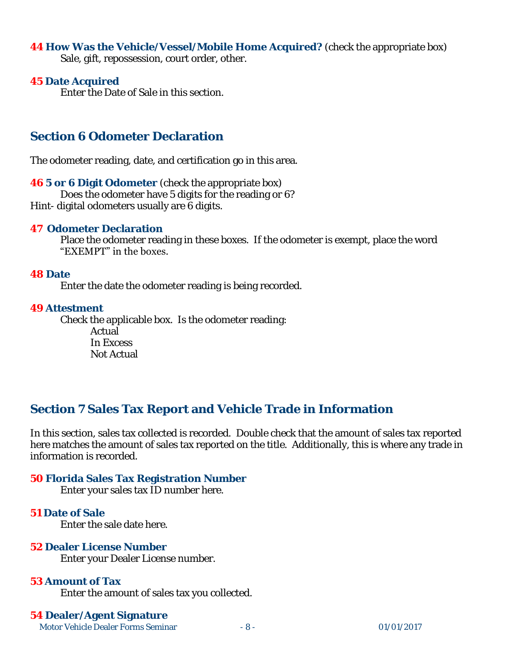#### **44 How Was the Vehicle/Vessel/Mobile Home Acquired?** (check the appropriate box) Sale, gift, repossession, court order, other.

#### **45 Date Acquired**

Enter the Date of Sale in this section.

## **Section 6 Odometer Declaration**

The odometer reading, date, and certification go in this area.

**46 5 or 6 Digit Odometer** (check the appropriate box) Does the odometer have 5 digits for the reading or 6?

Hint- digital odometers usually are 6 digits.

#### **47 Odometer Declaration**

 Place the odometer reading in these boxes. If the odometer is exempt, place the word "EXEMPT" in the boxes.

#### **48 Date**

Enter the date the odometer reading is being recorded.

#### **49 Attestment**

 Check the applicable box. Is the odometer reading: Actual In Excess Not Actual

# **Section 7 Sales Tax Report and Vehicle Trade in Information**

In this section, sales tax collected is recorded. Double check that the amount of sales tax reported here matches the amount of sales tax reported on the title. Additionally, this is where any trade in information is recorded.

#### **50 Florida Sales Tax Registration Number**

Enter your sales tax ID number here.

#### **51 Date of Sale**

Enter the sale date here.

#### **52 Dealer License Number**

Enter your Dealer License number.

#### **53 Amount of Tax**

Enter the amount of sales tax you collected.

#### **54 Dealer/Agent Signature**

Motor Vehicle Dealer Forms Seminar  $-8 -$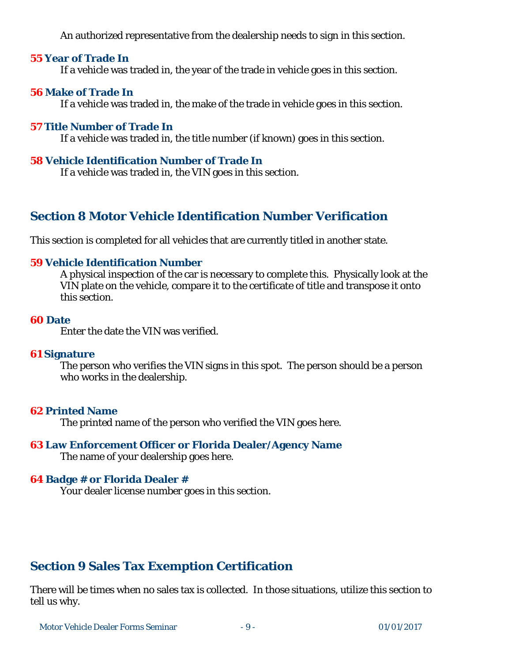An authorized representative from the dealership needs to sign in this section.

#### **55 Year of Trade In**

If a vehicle was traded in, the year of the trade in vehicle goes in this section.

#### **56 Make of Trade In**

If a vehicle was traded in, the make of the trade in vehicle goes in this section.

#### **57 Title Number of Trade In**

If a vehicle was traded in, the title number (if known) goes in this section.

#### **58 Vehicle Identification Number of Trade In**

If a vehicle was traded in, the VIN goes in this section.

# **Section 8 Motor Vehicle Identification Number Verification**

This section is completed for all vehicles that are currently titled in another state.

#### **59 Vehicle Identification Number**

 A physical inspection of the car is necessary to complete this. Physically look at the VIN plate on the vehicle, compare it to the certificate of title and transpose it onto this section.

#### **60 Date**

Enter the date the VIN was verified.

#### **61 Signature**

 The person who verifies the VIN signs in this spot. The person should be a person who works in the dealership.

#### **62 Printed Name**

The printed name of the person who verified the VIN goes here.

# **63 Law Enforcement Officer or Florida Dealer/Agency Name**

The name of your dealership goes here.

#### **64 Badge # or Florida Dealer #**

Your dealer license number goes in this section.

# **Section 9 Sales Tax Exemption Certification**

There will be times when no sales tax is collected. In those situations, utilize this section to tell us why.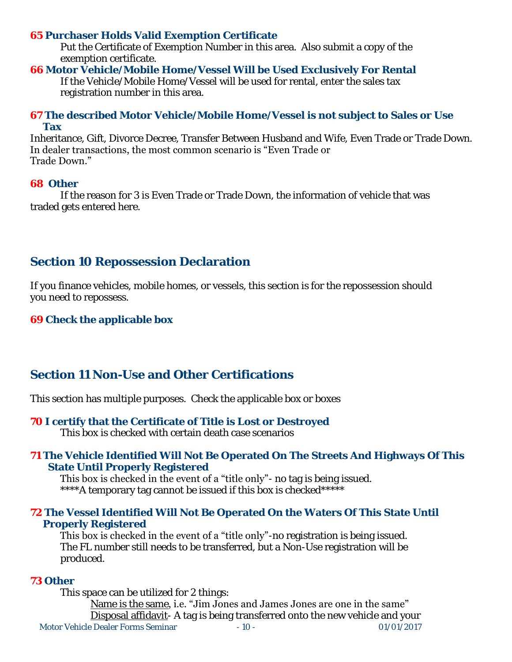#### **65 Purchaser Holds Valid Exemption Certificate**

 Put the Certificate of Exemption Number in this area. Also submit a copy of the exemption certificate.

#### **66 Motor Vehicle/Mobile Home/Vessel Will be Used Exclusively For Rental**

 If the Vehicle/Mobile Home/Vessel will be used for rental, enter the sales tax registration number in this area.

#### **67 The described Motor Vehicle/Mobile Home/Vessel is not subject to Sales or Use Tax**

Inheritance, Gift, Divorce Decree, Transfer Between Husband and Wife, Even Trade or Trade Down. In dealer transactions, the most common scenario is "Even Trade or Trade Down."

#### **68 Other**

 If the reason for 3 is Even Trade or Trade Down, the information of vehicle that was traded gets entered here.

# **Section 10 Repossession Declaration**

If you finance vehicles, mobile homes, or vessels, this section is for the repossession should you need to repossess.

**69 Check the applicable box** 

# **Section 11 Non-Use and Other Certifications**

This section has multiple purposes. Check the applicable box or boxes

- **70 I certify that the Certificate of Title is Lost or Destroyed** This box is checked with certain death case scenarios
- **71 The Vehicle Identified Will Not Be Operated On The Streets And Highways Of This State Until Properly Registered**

This box is checked in the event of a "title only"- no tag is being issued.

\*\*\*\*A temporary tag cannot be issued if this box is checked\*\*\*\*\*

#### **72 The Vessel Identified Will Not Be Operated On the Waters Of This State Until Properly Registered**

This box is checked in the event of a "title only"-no registration is being issued. The FL number still needs to be transferred, but a Non-Use registration will be produced.

#### **73 Other**

Motor Vehicle Dealer Forms Seminar  $-10 -$  01/01/2017 This space can be utilized for 2 things: Name is the same, i.e. "Jim Jones and James Jones are one in the same" Disposal affidavit- A tag is being transferred onto the new vehicle and your